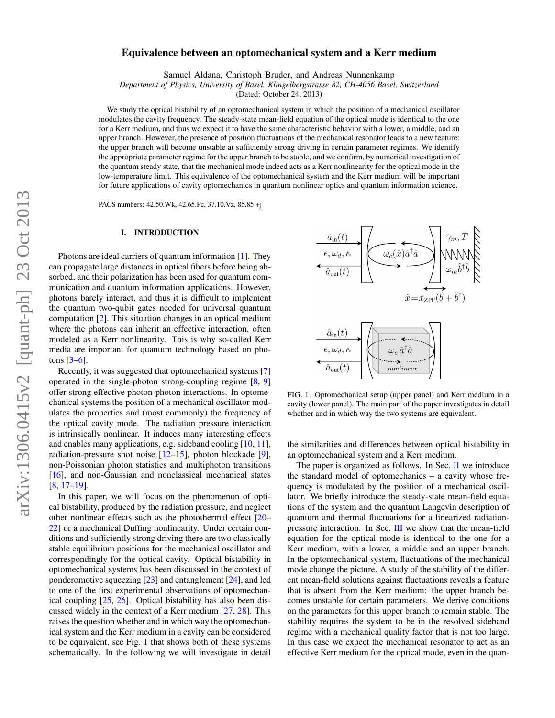# Equivalence between an optomechanical system and a Kerr medium

Samuel Aldana, Christoph Bruder, and Andreas Nunnenkamp

*Department of Physics, University of Basel, Klingelbergstrasse 82, CH-4056 Basel, Switzerland*

(Dated: October 24, 2013)

We study the optical bistability of an optomechanical system in which the position of a mechanical oscillator modulates the cavity frequency. The steady-state mean-field equation of the optical mode is identical to the one for a Kerr medium, and thus we expect it to have the same characteristic behavior with a lower, a middle, and an upper branch. However, the presence of position fluctuations of the mechanical resonator leads to a new feature: the upper branch will become unstable at sufficiently strong driving in certain parameter regimes. We identify the appropriate parameter regime for the upper branch to be stable, and we confirm, by numerical investigation of the quantum steady state, that the mechanical mode indeed acts as a Kerr nonlinearity for the optical mode in the low-temperature limit. This equivalence of the optomechanical system and the Kerr medium will be important for future applications of cavity optomechanics in quantum nonlinear optics and quantum information science.

PACS numbers: 42.50.Wk, 42.65.Pc, 37.10.Vz, 85.85.+j

### I. INTRODUCTION

Photons are ideal carriers of quantum information [\[1\]](#page-8-0). They can propagate large distances in optical fibers before being absorbed, and their polarization has been used for quantum communication and quantum information applications. However, photons barely interact, and thus it is difficult to implement the quantum two-qubit gates needed for universal quantum computation [\[2\]](#page-8-1). This situation changes in an optical medium where the photons can inherit an effective interaction, often modeled as a Kerr nonlinearity. This is why so-called Kerr media are important for quantum technology based on photons  $[3-6]$  $[3-6]$ .

Recently, it was suggested that optomechanical systems [\[7\]](#page-9-1) operated in the single-photon strong-coupling regime [\[8,](#page-9-2) [9\]](#page-9-3) offer strong effective photon-photon interactions. In optomechanical systems the position of a mechanical oscillator modulates the properties and (most commonly) the frequency of the optical cavity mode. The radiation pressure interaction is intrinsically nonlinear. It induces many interesting effects and enables many applications, e.g. sideband cooling [\[10,](#page-9-4) [11\]](#page-9-5), radiation-pressure shot noise [\[12–](#page-9-6)[15\]](#page-9-7), photon blockade [\[9\]](#page-9-3), non-Poissonian photon statistics and multiphoton transitions [\[16\]](#page-9-8), and non-Gaussian and nonclassical mechanical states [\[8,](#page-9-2) [17](#page-9-9)[–19\]](#page-9-10).

In this paper, we will focus on the phenomenon of optical bistability, produced by the radiation pressure, and neglect other nonlinear effects such as the photothermal effect [\[20–](#page-9-11) [22\]](#page-9-12) or a mechanical Duffing nonlinearity. Under certain conditions and sufficiently strong driving there are two classically stable equilibrium positions for the mechanical oscillator and correspondingly for the optical cavity. Optical bistability in optomechanical systems has been discussed in the context of ponderomotive squeezing [\[23\]](#page-9-13) and entanglement [\[24\]](#page-9-14), and led to one of the first experimental observations of optomechanical coupling [\[25,](#page-9-15) [26\]](#page-9-16). Optical bistability has also been discussed widely in the context of a Kerr medium [\[27,](#page-9-17) [28\]](#page-9-18). This raises the question whether and in which way the optomechanical system and the Kerr medium in a cavity can be considered to be equivalent, see Fig. [1](#page-0-0) that shows both of these systems schematically. In the following we will investigate in detail



<span id="page-0-0"></span>FIG. 1. Optomechanical setup (upper panel) and Kerr medium in a cavity (lower panel). The main part of the paper investigates in detail whether and in which way the two systems are equivalent.

the similarities and differences between optical bistability in an optomechanical system and a Kerr medium.

The paper is organized as follows. In Sec. [II](#page-1-0) we introduce the standard model of optomechanics – a cavity whose frequency is modulated by the position of a mechanical oscillator. We briefly introduce the steady-state mean-field equations of the system and the quantum Langevin description of quantum and thermal fluctuations for a linearized radiationpressure interaction. In Sec. [III](#page-2-0) we show that the mean-field equation for the optical mode is identical to the one for a Kerr medium, with a lower, a middle and an upper branch. In the optomechanical system, fluctuations of the mechanical mode change the picture. A study of the stability of the different mean-field solutions against fluctuations reveals a feature that is absent from the Kerr medium: the upper branch becomes unstable for certain parameters. We derive conditions on the parameters for this upper branch to remain stable. The stability requires the system to be in the resolved sideband regime with a mechanical quality factor that is not too large. In this case we expect the mechanical resonator to act as an effective Kerr medium for the optical mode, even in the quan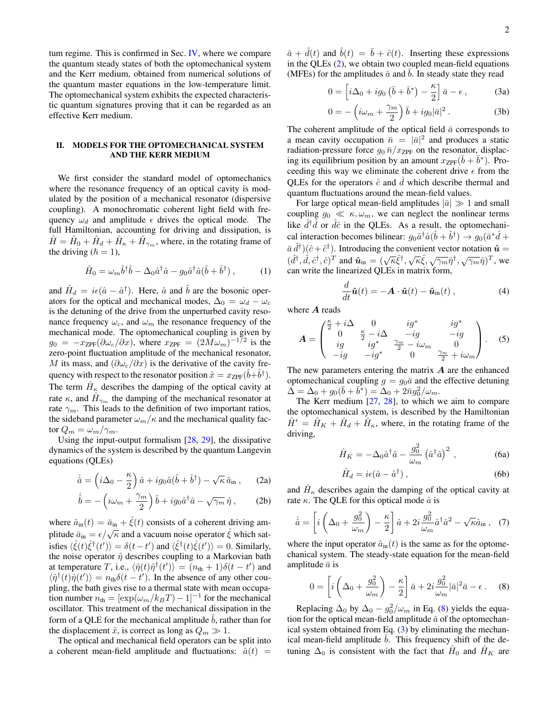tum regime. This is confirmed in Sec. [IV,](#page-6-0) where we compare the quantum steady states of both the optomechanical system and the Kerr medium, obtained from numerical solutions of the quantum master equations in the low-temperature limit. The optomechanical system exhibits the expected characteristic quantum signatures proving that it can be regarded as an effective Kerr medium.

# <span id="page-1-0"></span>II. MODELS FOR THE OPTOMECHANICAL SYSTEM AND THE KERR MEDIUM

We first consider the standard model of optomechanics where the resonance frequency of an optical cavity is modulated by the position of a mechanical resonator (dispersive coupling). A monochromatic coherent light field with frequency  $\omega_d$  and amplitude  $\epsilon$  drives the optical mode. The full Hamiltonian, accounting for driving and dissipation, is  $\hat{H} = \hat{H}_0 + \hat{H}_d + \hat{H}_{\kappa} + \hat{H}_{\gamma_m}$ , where, in the rotating frame of the driving  $(\hbar = 1)$ ,

<span id="page-1-4"></span>
$$
\hat{H}_0 = \omega_m \hat{b}^\dagger \hat{b} - \Delta_0 \hat{a}^\dagger \hat{a} - g_0 \hat{a}^\dagger \hat{a} (\hat{b} + \hat{b}^\dagger) , \qquad (1)
$$

and  $\hat{H}_d = i\epsilon(\hat{a} - \hat{a}^\dagger)$ . Here,  $\hat{a}$  and  $\hat{b}$  are the bosonic operators for the optical and mechanical modes,  $\Delta_0 = \omega_d - \omega_c$ is the detuning of the drive from the unperturbed cavity resonance frequency  $\omega_c$ , and  $\omega_m$  the resonance frequency of the mechanical mode. The optomechanical coupling is given by  $g_0 = -x_{\text{ZPF}}(\partial \omega_c/\partial x)$ , where  $x_{\text{ZPF}} = (2M\omega_m)^{-1/2}$  is the zero-point fluctuation amplitude of the mechanical resonator, M its mass, and  $(\partial \omega_c/\partial x)$  is the derivative of the cavity frequency with respect to the resonator position  $\hat{x} = x_{\text{ZPF}}(\hat{b} + \hat{b}^{\dagger}).$ The term  $\hat{H}_{\kappa}$  describes the damping of the optical cavity at rate  $\kappa$ , and  $\hat{H}_{\gamma_m}$  the damping of the mechanical resonator at rate  $\gamma_m$ . This leads to the definition of two important ratios, the sideband parameter  $\omega_m/\kappa$  and the mechanical quality factor  $Q_m = \omega_m / \gamma_m$ .

Using the input-output formalism [\[28,](#page-9-18) [29\]](#page-9-19), the dissipative dynamics of the system is described by the quantum Langevin equations (QLEs)

<span id="page-1-1"></span>
$$
\dot{\hat{a}} = \left(i\Delta_0 - \frac{\kappa}{2}\right)\hat{a} + ig_0\hat{a}(\hat{b} + \hat{b}^\dagger) - \sqrt{\kappa}\,\hat{a}_{\rm in} \,,\qquad(2\text{a})
$$

$$
\dot{\hat{b}} = -\left(i\omega_m + \frac{\gamma_m}{2}\right)\hat{b} + ig_0\hat{a}^\dagger\hat{a} - \sqrt{\gamma_m}\,\hat{\eta}\,,\qquad(2b)
$$

where  $\hat{a}_{in}(t) = \bar{a}_{in} + \hat{\xi}(t)$  consists of a coherent driving amplitude  $\bar{a}_{in} = \epsilon/\sqrt{\kappa}$  and a vacuum noise operator  $\hat{\xi}$  which satisfies  $\langle \hat{\xi}(t)\hat{\xi}^{\dagger}(t')\rangle = \delta(t-t')$  and  $\langle \hat{\xi}^{\dagger}(t)\hat{\xi}(t')\rangle = 0$ . Similarly, the noise operator  $\hat{\eta}$  describes coupling to a Markovian bath at temperature T, i.e.,  $\langle \hat{\eta}(t)\hat{\eta}^{\dagger}(t')\rangle = (n_{\text{th}} + 1)\delta(t - t')$  and  $\langle \hat{\eta}^{\dagger}(t)\hat{\eta}(t')\rangle = n_{\text{th}}\delta(t-t')$ . In the absence of any other coupling, the bath gives rise to a thermal state with mean occupation number  $n_{\text{th}} = [\exp(\omega_m/k_BT) - 1]^{-1}$  for the mechanical oscillator. This treatment of the mechanical dissipation in the form of a QLE for the mechanical amplitude  $\hat{b}$ , rather than for the displacement  $\hat{x}$ , is correct as long as  $Q_m \gg 1$ .

The optical and mechanical field operators can be split into a coherent mean-field amplitude and fluctuations:  $\hat{a}(t)$  =

 $\bar{a} + \hat{d}(t)$  and  $\hat{b}(t) = \bar{b} + \hat{c}(t)$ . Inserting these expressions in the QLEs [\(2\)](#page-1-1), we obtain two coupled mean-field equations (MFEs) for the amplitudes  $\bar{a}$  and  $\bar{b}$ . In steady state they read

<span id="page-1-3"></span>
$$
0 = \left[i\Delta_0 + ig_0\left(\bar{b} + \bar{b}^*\right) - \frac{\kappa}{2}\right]\bar{a} - \epsilon\,,\tag{3a}
$$

<span id="page-1-6"></span>
$$
0 = -\left(i\omega_m + \frac{\gamma_m}{2}\right)\bar{b} + ig_0|\bar{a}|^2.
$$
 (3b)

The coherent amplitude of the optical field  $\bar{a}$  corresponds to a mean cavity occupation  $\bar{n} = |\bar{a}|^2$  and produces a static radiation-pressure force  $g_0 \bar{n}/x_{\text{ZPF}}$  on the resonator, displacing its equilibrium position by an amount  $x_{\text{ZPF}}(\bar{b} + \bar{b}^*)$ . Proceeding this way we eliminate the coherent drive  $\epsilon$  from the QLEs for the operators  $\hat{c}$  and  $d$  which describe thermal and quantum fluctuations around the mean-field values.

For large optical mean-field amplitudes  $|\bar{a}| \gg 1$  and small coupling  $g_0 \ll \kappa, \omega_m$ , we can neglect the nonlinear terms like  $\hat{d}^{\dagger} \hat{d}$  or  $\hat{d}\hat{c}$  in the QLEs. As a result, the optomechanical interaction becomes bilinear:  $g_0 \hat{a}^\dagger \hat{a} (\hat{b} + \hat{b}^\dagger) \rightarrow g_0 (\bar{a}^* \hat{d} + \hat{b}^\dagger)$  $\bar{a} \, \hat{d}^{\dagger}$ ) $(\hat{c} + \hat{c}^{\dagger})$ . Introducing the convenient vector notation  $\hat{\mathbf{u}} =$  $(\hat{d}^{\dagger}, \hat{d}, \hat{c}^{\dagger}, \hat{c})^T$  and  $\hat{\mathbf{u}}_{in} = (\sqrt{\kappa} \hat{\xi}^{\dagger}, \sqrt{\kappa} \hat{\xi}, \sqrt{\gamma_m} \hat{\eta}^{\dagger}, \sqrt{\gamma_m} \hat{\eta})^T$ , we can write the linearized QLEs in matrix form,

<span id="page-1-7"></span>
$$
\frac{d}{dt}\hat{\boldsymbol{u}}(t) = -\boldsymbol{A} \cdot \hat{\boldsymbol{u}}(t) - \hat{\boldsymbol{u}}_{\rm in}(t) ,
$$
\n(4)

where A reads

<span id="page-1-8"></span>
$$
\mathbf{A} = \begin{pmatrix} \frac{\kappa}{2} + i\Delta & 0 & ig^* & ig^* \\ 0 & \frac{\kappa}{2} - i\Delta & -ig & -ig \\ ig & ig^* & \frac{\gamma_m}{2} - i\omega_m & 0 \\ -ig & -ig^* & 0 & \frac{\gamma_m}{2} + i\omega_m \end{pmatrix} . \tag{5}
$$

The new parameters entering the matrix  $\boldsymbol{A}$  are the enhanced optomechanical coupling  $g = g_0\bar{a}$  and the effective detuning  $\Delta = \Delta_0 + g_0 (\bar{b} + \bar{b}^*) = \Delta_0 + 2\bar{n}g_0^2/\omega_m.$ 

The Kerr medium  $[27, 28]$  $[27, 28]$  $[27, 28]$ , to which we aim to compare the optomechanical system, is described by the Hamiltonian  $\hat{H}' = \hat{H}_K + \hat{H}_d + \hat{H}_\kappa$ , where, in the rotating frame of the driving,

<span id="page-1-10"></span>
$$
\hat{H}_K = -\Delta_0 \hat{a}^\dagger \hat{a} - \frac{g_0^2}{\omega_m} \left(\hat{a}^\dagger \hat{a}\right)^2 , \qquad (6a)
$$

<span id="page-1-5"></span>
$$
\hat{H}_d = i\epsilon(\hat{a} - \hat{a}^\dagger) ,\qquad(6b)
$$

and  $\hat{H}_{\kappa}$  describes again the damping of the optical cavity at rate  $\kappa$ . The QLE for this optical mode  $\hat{a}$  is

<span id="page-1-9"></span>
$$
\dot{\hat{a}} = \left[ i \left( \Delta_0 + \frac{g_0^2}{\omega_m} \right) - \frac{\kappa}{2} \right] \hat{a} + 2i \frac{g_0^2}{\omega_m} \hat{a}^\dagger \hat{a}^2 - \sqrt{\kappa} \hat{a}_{\rm in} \,, \quad (7)
$$

where the input operator  $\hat{a}_{in}(t)$  is the same as for the optomechanical system. The steady-state equation for the mean-field amplitude  $\bar{a}$  is

<span id="page-1-2"></span>
$$
0 = \left[ i \left( \Delta_0 + \frac{g_0^2}{\omega_m} \right) - \frac{\kappa}{2} \right] \bar{a} + 2i \frac{g_0^2}{\omega_m} |\bar{a}|^2 \bar{a} - \epsilon \,. \tag{8}
$$

Replacing  $\Delta_0$  by  $\Delta_0 - g_0^2/\omega_m$  in Eq. [\(8\)](#page-1-2) yields the equation for the optical mean-field amplitude  $\bar{a}$  of the optomechanical system obtained from Eq.  $(3)$  by eliminating the mechanical mean-field amplitude  $\bar{b}$ . This frequency shift of the detuning  $\Delta_0$  is consistent with the fact that  $\hat{H}_0$  and  $\hat{H}_K$  are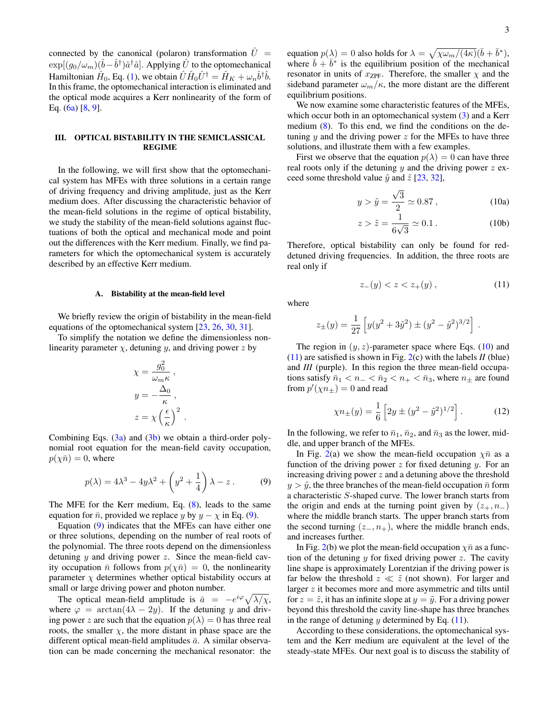connected by the canonical (polaron) transformation  $\hat{U}$  =  $\exp[(g_0/\omega_m)(\hat{b}-\hat{b}^\dagger)\hat{a}^\dagger\hat{a}]$ . Applying  $\hat{U}$  to the optomechanical Hamiltonian  $\hat{H}_0$ , Eq. [\(1\)](#page-1-4), we obtain  $\hat{U}\hat{H}_0\hat{U}^\dagger = \hat{H}_K + \omega_n \hat{b}^\dagger \hat{b}$ . In this frame, the optomechanical interaction is eliminated and the optical mode acquires a Kerr nonlinearity of the form of Eq. [\(6a\)](#page-1-5) [\[8,](#page-9-2) [9\]](#page-9-3).

# <span id="page-2-0"></span>III. OPTICAL BISTABILITY IN THE SEMICLASSICAL REGIME

In the following, we will first show that the optomechanical system has MFEs with three solutions in a certain range of driving frequency and driving amplitude, just as the Kerr medium does. After discussing the characteristic behavior of the mean-field solutions in the regime of optical bistability, we study the stability of the mean-field solutions against fluctuations of both the optical and mechanical mode and point out the differences with the Kerr medium. Finally, we find parameters for which the optomechanical system is accurately described by an effective Kerr medium.

#### A. Bistability at the mean-field level

We briefly review the origin of bistability in the mean-field equations of the optomechanical system [\[23,](#page-9-13) [26,](#page-9-16) [30,](#page-9-20) [31\]](#page-9-21).

To simplify the notation we define the dimensionless nonlinearity parameter  $\chi$ , detuning y, and driving power z by

$$
\chi = \frac{g_0^2}{\omega_m \kappa},
$$
  

$$
y = -\frac{\Delta_0}{\kappa},
$$
  

$$
z = \chi \left(\frac{\epsilon}{\kappa}\right)^2
$$

Combining Eqs.  $(3a)$  and  $(3b)$  we obtain a third-order polynomial root equation for the mean-field cavity occupation,  $p(\chi \bar{n}) = 0$ , where

<span id="page-2-1"></span>
$$
p(\lambda) = 4\lambda^3 - 4y\lambda^2 + \left(y^2 + \frac{1}{4}\right)\lambda - z. \tag{9}
$$

.

The MFE for the Kerr medium, Eq. [\(8\)](#page-1-2), leads to the same equation for  $\bar{n}$ , provided we replace y by  $y - \chi$  in Eq. [\(9\)](#page-2-1).

Equation [\(9\)](#page-2-1) indicates that the MFEs can have either one or three solutions, depending on the number of real roots of the polynomial. The three roots depend on the dimensionless detuning  $y$  and driving power  $z$ . Since the mean-field cavity occupation  $\bar{n}$  follows from  $p(\chi \bar{n}) = 0$ , the nonlinearity parameter  $\chi$  determines whether optical bistability occurs at small or large driving power and photon number.

The optical mean-field amplitude is  $\bar{a} = -e^{i\varphi}\sqrt{\lambda/\chi}$ , where  $\varphi = \arctan(4\lambda - 2y)$ . If the detuning y and driving power z are such that the equation  $p(\lambda) = 0$  has three real roots, the smaller  $\chi$ , the more distant in phase space are the different optical mean-field amplitudes  $\bar{a}$ . A similar observation can be made concerning the mechanical resonator: the

equation  $p(\lambda) = 0$  also holds for  $\lambda = \sqrt{\chi \omega_m / (4\kappa)} (\bar{b} + \bar{b}^*)$ , where  $\bar{b} + \bar{b}^*$  is the equilibrium position of the mechanical resonator in units of  $x_{\text{ZPF}}$ . Therefore, the smaller  $\chi$  and the sideband parameter  $\omega_m/\kappa$ , the more distant are the different equilibrium positions.

We now examine some characteristic features of the MFEs, which occur both in an optomechanical system  $(3)$  and a Kerr medium  $(8)$ . To this end, we find the conditions on the detuning y and the driving power  $z$  for the MFEs to have three solutions, and illustrate them with a few examples.

First we observe that the equation  $p(\lambda) = 0$  can have three real roots only if the detuning y and the driving power  $z$  exceed some threshold value  $\tilde{y}$  and  $\tilde{z}$  [\[23,](#page-9-13) [32\]](#page-9-22),

<span id="page-2-2"></span>
$$
y > \tilde{y} = \frac{\sqrt{3}}{2} \simeq 0.87
$$
, (10a)

$$
z > \tilde{z} = \frac{1}{6\sqrt{3}} \simeq 0.1 \,. \tag{10b}
$$

Therefore, optical bistability can only be found for reddetuned driving frequencies. In addition, the three roots are real only if

<span id="page-2-3"></span>
$$
z_{-}(y) < z < z_{+}(y) \,,\tag{11}
$$

where

$$
z_{\pm}(y) = \frac{1}{27} \left[ y(y^2 + 3\tilde{y}^2) \pm (y^2 - \tilde{y}^2)^{3/2} \right].
$$

The region in  $(y, z)$ -parameter space where Eqs. [\(10\)](#page-2-2) and [\(11\)](#page-2-3) are satisfied is shown in Fig. [2\(](#page-3-0)c) with the labels *II* (blue) and *III* (purple). In this region the three mean-field occupations satisfy  $\bar{n}_1 < n_- < \bar{n}_2 < n_+ < \bar{n}_3$ , where  $n_\pm$  are found from  $p'(\chi n_{\pm}) = 0$  and read

<span id="page-2-4"></span>
$$
\chi n_{\pm}(y) = \frac{1}{6} \left[ 2y \pm (y^2 - \tilde{y}^2)^{1/2} \right].
$$
 (12)

In the following, we refer to  $\bar{n}_1$ ,  $\bar{n}_2$ , and  $\bar{n}_3$  as the lower, middle, and upper branch of the MFEs.

In Fig. [2\(](#page-3-0)a) we show the mean-field occupation  $\chi \bar{n}$  as a function of the driving power  $z$  for fixed detuning  $y$ . For an increasing driving power  $z$  and a detuning above the threshold  $y > \tilde{y}$ , the three branches of the mean-field occupation  $\bar{n}$  form a characteristic S-shaped curve. The lower branch starts from the origin and ends at the turning point given by  $(z_+, n_-)$ where the middle branch starts. The upper branch starts from the second turning  $(z_-, n_+)$ , where the middle branch ends, and increases further.

In Fig. [2\(](#page-3-0)b) we plot the mean-field occupation  $\chi \bar{n}$  as a function of the detuning  $y$  for fixed driving power  $z$ . The cavity line shape is approximately Lorentzian if the driving power is far below the threshold  $z \ll \tilde{z}$  (not shown). For larger and larger z it becomes more and more asymmetric and tilts until for  $z = \tilde{z}$ , it has an infinite slope at  $y = \tilde{y}$ . For a driving power beyond this threshold the cavity line-shape has three branches in the range of detuning y determined by Eq.  $(11)$ .

According to these considerations, the optomechanical system and the Kerr medium are equivalent at the level of the steady-state MFEs. Our next goal is to discuss the stability of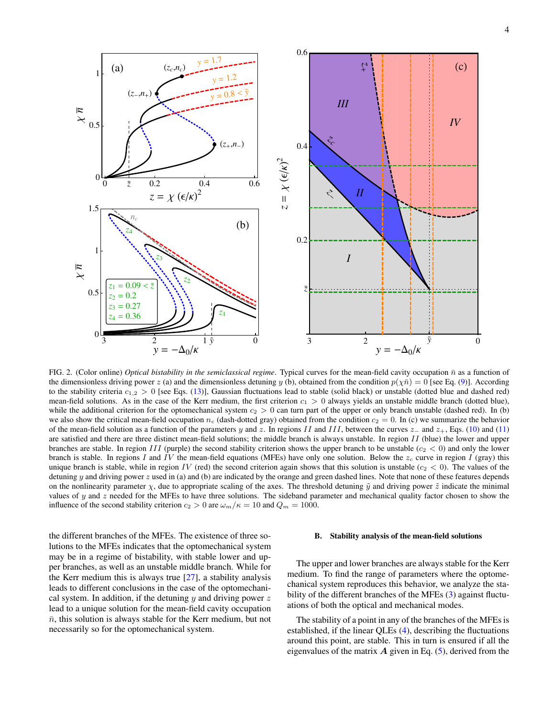

<span id="page-3-0"></span>FIG. 2. (Color online) *Optical bistability in the semiclassical regime*. Typical curves for the mean-field cavity occupation  $\bar{n}$  as a function of the dimensionless driving power z (a) and the dimensionless detuning y (b), obtained from the condition  $p(\chi \bar{n}) = 0$  [see Eq. [\(9\)](#page-2-1)]. According to the stability criteria  $c_{1,2} > 0$  [see Eqs. [\(13\)](#page-4-0)], Gaussian fluctuations lead to stable (solid black) or unstable (dotted blue and dashed red) mean-field solutions. As in the case of the Kerr medium, the first criterion  $c_1 > 0$  always yields an unstable middle branch (dotted blue), while the additional criterion for the optomechanical system  $c_2 > 0$  can turn part of the upper or only branch unstable (dashed red). In (b) we also show the critical mean-field occupation  $n_c$  (dash-dotted gray) obtained from the condition  $c_2 = 0$ . In (c) we summarize the behavior of the mean-field solution as a function of the parameters y and z. In regions II and III, between the curves  $z_$  and  $z_$ +, Eqs. [\(10\)](#page-2-2) and [\(11\)](#page-2-3) are satisfied and there are three distinct mean-field solutions; the middle branch is always unstable. In region II (blue) the lower and upper branches are stable. In region III (purple) the second stability criterion shows the upper branch to be unstable  $(c_2 < 0)$  and only the lower branch is stable. In regions I and IV the mean-field equations (MFEs) have only one solution. Below the  $z_c$  curve in region I (gray) this unique branch is stable, while in region IV (red) the second criterion again shows that this solution is unstable ( $c_2 < 0$ ). The values of the detuning y and driving power z used in (a) and (b) are indicated by the orange and green dashed lines. Note that none of these features depends on the nonlinearity parameter  $\chi$ , due to appropriate scaling of the axes. The threshold detuning  $\tilde{y}$  and driving power  $\tilde{z}$  indicate the minimal values of  $y$  and  $z$  needed for the MFEs to have three solutions. The sideband parameter and mechanical quality factor chosen to show the influence of the second stability criterion  $c_2 > 0$  are  $\omega_m/\kappa = 10$  and  $Q_m = 1000$ .

the different branches of the MFEs. The existence of three solutions to the MFEs indicates that the optomechanical system may be in a regime of bistability, with stable lower and upper branches, as well as an unstable middle branch. While for the Kerr medium this is always true [\[27\]](#page-9-17), a stability analysis leads to different conclusions in the case of the optomechanical system. In addition, if the detuning  $y$  and driving power  $z$ lead to a unique solution for the mean-field cavity occupation  $\bar{n}$ , this solution is always stable for the Kerr medium, but not necessarily so for the optomechanical system.

### B. Stability analysis of the mean-field solutions

The upper and lower branches are always stable for the Kerr medium. To find the range of parameters where the optomechanical system reproduces this behavior, we analyze the sta-bility of the different branches of the MFEs [\(3\)](#page-1-3) against fluctuations of both the optical and mechanical modes.

The stability of a point in any of the branches of the MFEs is established, if the linear QLEs [\(4\)](#page-1-7), describing the fluctuations around this point, are stable. This in turn is ensured if all the eigenvalues of the matrix  $\vec{A}$  given in Eq. [\(5\)](#page-1-8), derived from the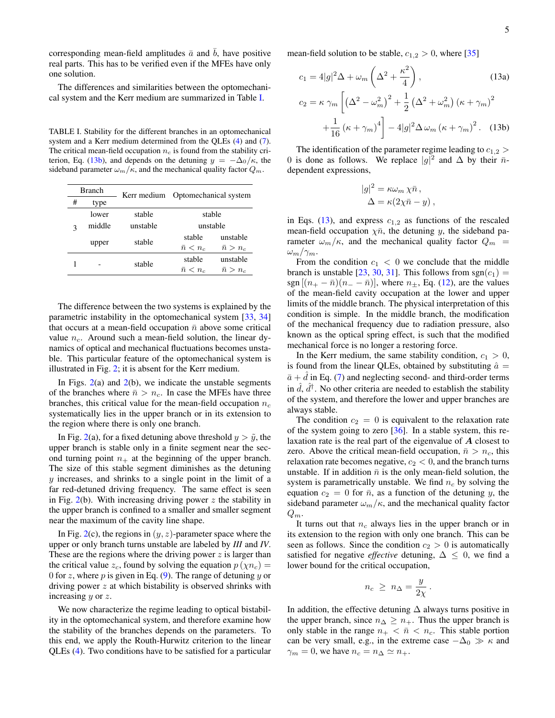corresponding mean-field amplitudes  $\bar{a}$  and  $b$ , have positive real parts. This has to be verified even if the MFEs have only one solution.

The differences and similarities between the optomechanical system and the Kerr medium are summarized in Table [I.](#page-4-1)

<span id="page-4-1"></span>TABLE I. Stability for the different branches in an optomechanical system and a Kerr medium determined from the QLEs [\(4\)](#page-1-7) and [\(7\)](#page-1-9). The critical mean-field occupation  $n_c$  is found from the stability cri-terion, Eq. [\(13b\)](#page-4-2), and depends on the detuning  $y = -\Delta_0/\kappa$ , the sideband parameter  $\omega_m/\kappa$ , and the mechanical quality factor  $Q_m$ .

| <b>Branch</b> |        | Kerr medium | Optomechanical system |                 |
|---------------|--------|-------------|-----------------------|-----------------|
| #             | type   |             |                       |                 |
| ٩             | lower  | stable      | stable                |                 |
|               | middle | unstable    | unstable              |                 |
|               | upper  | stable      | stable                | unstable        |
|               |        |             | $\bar{n} < n_c$       | $\bar{n} > n_c$ |
|               |        | stable      | stable                | unstable        |
|               |        |             | $\bar{n} < n_c$       | $\bar{n} > n_c$ |

The difference between the two systems is explained by the parametric instability in the optomechanical system [\[33,](#page-9-23) [34\]](#page-9-24) that occurs at a mean-field occupation  $\bar{n}$  above some critical value  $n_c$ . Around such a mean-field solution, the linear dynamics of optical and mechanical fluctuations becomes unstable. This particular feature of the optomechanical system is illustrated in Fig. [2;](#page-3-0) it is absent for the Kerr medium.

In Figs.  $2(a)$  $2(a)$  and  $2(b)$ , we indicate the unstable segments of the branches where  $\bar{n} > n_c$ . In case the MFEs have three branches, this critical value for the mean-field occupation  $n_c$ systematically lies in the upper branch or in its extension to the region where there is only one branch.

In Fig. [2\(](#page-3-0)a), for a fixed detuning above threshold  $y > \tilde{y}$ , the upper branch is stable only in a finite segment near the second turning point  $n_+$  at the beginning of the upper branch. The size of this stable segment diminishes as the detuning y increases, and shrinks to a single point in the limit of a far red-detuned driving frequency. The same effect is seen in Fig.  $2(b)$  $2(b)$ . With increasing driving power z the stability in the upper branch is confined to a smaller and smaller segment near the maximum of the cavity line shape.

In Fig. [2\(](#page-3-0)c), the regions in  $(y, z)$ -parameter space where the upper or only branch turns unstable are labeled by *III* and *IV*. These are the regions where the driving power  $z$  is larger than the critical value  $z_c$ , found by solving the equation  $p(\chi n_c) =$ 0 for z, where p is given in Eq.  $(9)$ . The range of detuning y or driving power z at which bistability is observed shrinks with increasing y or z.

We now characterize the regime leading to optical bistability in the optomechanical system, and therefore examine how the stability of the branches depends on the parameters. To this end, we apply the Routh-Hurwitz criterion to the linear QLEs [\(4\)](#page-1-7). Two conditions have to be satisfied for a particular

mean-field solution to be stable,  $c_{1,2} > 0$ , where [\[35\]](#page-9-25)

<span id="page-4-2"></span>
$$
c_1 = 4|g|^2 \Delta + \omega_m \left(\Delta^2 + \frac{\kappa^2}{4}\right),\tag{13a}
$$

$$
c_2 = \kappa \gamma_m \left[ \left(\Delta^2 - \omega_m^2\right)^2 + \frac{1}{2} \left(\Delta^2 + \omega_m^2\right) \left(\kappa + \gamma_m\right)^2 + \frac{1}{16} \left(\kappa + \gamma_m\right)^4 \right] - 4|g|^2 \Delta \omega_m \left(\kappa + \gamma_m\right)^2.\tag{13b}
$$

The identification of the parameter regime leading to  $c_{1,2}$ 0 is done as follows. We replace  $|g|^2$  and  $\Delta$  by their  $\bar{n}$ dependent expressions,

<span id="page-4-0"></span>
$$
|g|^2 = \kappa \omega_m \chi \bar{n} ,
$$
  
 
$$
\Delta = \kappa (2\chi \bar{n} - y) ,
$$

in Eqs. [\(13\)](#page-4-0), and express  $c_{1,2}$  as functions of the rescaled mean-field occupation  $\chi \bar{n}$ , the detuning y, the sideband parameter  $\omega_m/\kappa$ , and the mechanical quality factor  $Q_m$  =  $\omega_m/\gamma_m$ .

From the condition  $c_1 < 0$  we conclude that the middle branch is unstable [\[23,](#page-9-13) [30,](#page-9-20) [31\]](#page-9-21). This follows from  $sgn(c_1)$  = sgn  $[(n_+ - \bar{n})(n_- - \bar{n})]$ , where  $n_{\pm}$ , Eq. [\(12\)](#page-2-4), are the values of the mean-field cavity occupation at the lower and upper limits of the middle branch. The physical interpretation of this condition is simple. In the middle branch, the modification of the mechanical frequency due to radiation pressure, also known as the optical spring effect, is such that the modified mechanical force is no longer a restoring force.

In the Kerr medium, the same stability condition,  $c_1 > 0$ , is found from the linear QLEs, obtained by substituting  $\hat{a} =$  $\bar{a}$  + d in Eq. [\(7\)](#page-1-9) and neglecting second- and third-order terms in  $\hat{d}$ ,  $\hat{d}^{\dagger}$ . No other criteria are needed to establish the stability of the system, and therefore the lower and upper branches are always stable.

The condition  $c_2 = 0$  is equivalent to the relaxation rate of the system going to zero  $[36]$ . In a stable system, this relaxation rate is the real part of the eigenvalue of A closest to zero. Above the critical mean-field occupation,  $\bar{n} > n_c$ , this relaxation rate becomes negative,  $c_2 < 0$ , and the branch turns unstable. If in addition  $\bar{n}$  is the only mean-field solution, the system is parametrically unstable. We find  $n_c$  by solving the equation  $c_2 = 0$  for  $\bar{n}$ , as a function of the detuning y, the sideband parameter  $\omega_m/\kappa$ , and the mechanical quality factor  $Q_m$ .

It turns out that  $n_c$  always lies in the upper branch or in its extension to the region with only one branch. This can be seen as follows. Since the condition  $c_2 > 0$  is automatically satisfied for negative *effective* detuning,  $\Delta \leq 0$ , we find a lower bound for the critical occupation,

$$
n_c \geq n_{\Delta} = \frac{y}{2\chi} .
$$

In addition, the effective detuning  $\Delta$  always turns positive in the upper branch, since  $n_{\Delta} \geq n_{+}$ . Thus the upper branch is only stable in the range  $n_+ < \bar{n} < n_c$ . This stable portion can be very small, e.g., in the extreme case  $-\Delta_0 \gg \kappa$  and  $\gamma_m = 0$ , we have  $n_c = n_\Delta \simeq n_+$ .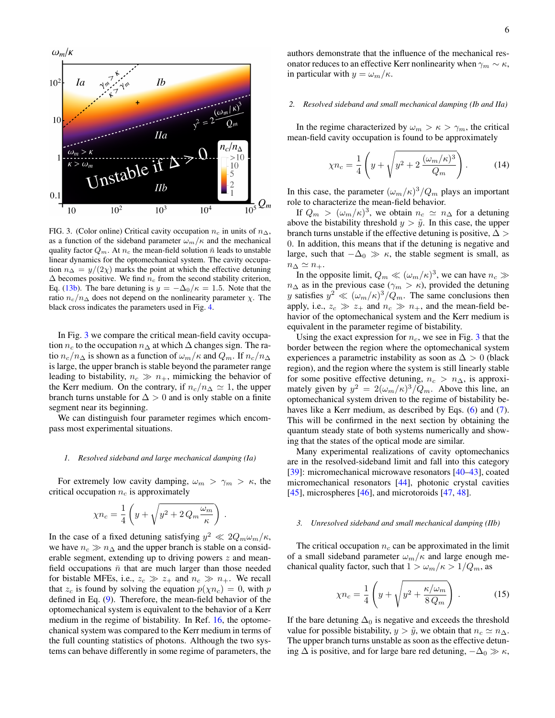

<span id="page-5-0"></span>FIG. 3. (Color online) Critical cavity occupation  $n_c$  in units of  $n_{\Delta}$ , as a function of the sideband parameter  $\omega_m/\kappa$  and the mechanical quality factor  $Q_m$ . At  $n_c$  the mean-field solution  $\bar{n}$  leads to unstable linear dynamics for the optomechanical system. The cavity occupation  $n_{\Delta} = y/(2\chi)$  marks the point at which the effective detuning  $\Delta$  becomes positive. We find  $n_c$  from the second stability criterion, Eq. [\(13b\)](#page-4-2). The bare detuning is  $y = -\Delta_0/\kappa = 1.5$ . Note that the ratio  $n_c/n_\Delta$  does not depend on the nonlinearity parameter  $\chi$ . The black cross indicates the parameters used in Fig. [4.](#page-7-0)

In Fig. [3](#page-5-0) we compare the critical mean-field cavity occupation  $n_c$  to the occupation  $n_\Delta$  at which  $\Delta$  changes sign. The ratio  $n_c/n_\Delta$  is shown as a function of  $\omega_m/\kappa$  and  $Q_m$ . If  $n_c/n_\Delta$ is large, the upper branch is stable beyond the parameter range leading to bistability,  $n_c \gg n_+$ , mimicking the behavior of the Kerr medium. On the contrary, if  $n_c/n_\Delta \simeq 1$ , the upper branch turns unstable for  $\Delta > 0$  and is only stable on a finite segment near its beginning.

We can distinguish four parameter regimes which encompass most experimental situations.

#### *1. Resolved sideband and large mechanical damping (Ia)*

For extremely low cavity damping,  $\omega_m > \gamma_m > \kappa$ , the critical occupation  $n_c$  is approximately

$$
\chi n_c = \frac{1}{4} \left( y + \sqrt{y^2 + 2 \, Q_m \frac{\omega_m}{\kappa}} \right) \, .
$$

In the case of a fixed detuning satisfying  $y^2 \ll 2Q_m \omega_m / \kappa$ , we have  $n_c \gg n_{\Delta}$  and the upper branch is stable on a considerable segment, extending up to driving powers  $z$  and meanfield occupations  $\bar{n}$  that are much larger than those needed for bistable MFEs, i.e.,  $z_c \gg z_+$  and  $n_c \gg n_+$ . We recall that  $z_c$  is found by solving the equation  $p(\chi n_c) = 0$ , with p defined in Eq. [\(9\)](#page-2-1). Therefore, the mean-field behavior of the optomechanical system is equivalent to the behavior of a Kerr medium in the regime of bistability. In Ref. [16,](#page-9-8) the optomechanical system was compared to the Kerr medium in terms of the full counting statistics of photons. Although the two systems can behave differently in some regime of parameters, the

authors demonstrate that the influence of the mechanical resonator reduces to an effective Kerr nonlinearity when  $\gamma_m \sim \kappa$ , in particular with  $y = \omega_m/\kappa$ .

### *2. Resolved sideband and small mechanical damping (Ib and IIa)*

In the regime characterized by  $\omega_m > \kappa > \gamma_m$ , the critical mean-field cavity occupation is found to be approximately

<span id="page-5-1"></span>
$$
\chi n_c = \frac{1}{4} \left( y + \sqrt{y^2 + 2 \frac{(\omega_m/\kappa)^3}{Q_m}} \right). \tag{14}
$$

In this case, the parameter  $(\omega_m/\kappa)^3/Q_m$  plays an important role to characterize the mean-field behavior.

If  $Q_m > (\omega_m/\kappa)^3$ , we obtain  $n_c \simeq n_\Delta$  for a detuning above the bistability threshold  $y > \tilde{y}$ . In this case, the upper branch turns unstable if the effective detuning is positive,  $\Delta >$ 0. In addition, this means that if the detuning is negative and large, such that  $-\Delta_0 \gg \kappa$ , the stable segment is small, as  $n_{\Delta} \simeq n_{+}.$ 

In the opposite limit,  $Q_m \ll (\omega_m/\kappa)^3$ , we can have  $n_c \gg$  $n_{\Delta}$  as in the previous case ( $\gamma_m > \kappa$ ), provided the detuning y satisfies  $y^2 \ll (\omega_m/\kappa)^3/Q_m$ . The same conclusions then apply, i.e.,  $z_c \gg z_+$  and  $n_c \gg n_+$ , and the mean-field behavior of the optomechanical system and the Kerr medium is equivalent in the parameter regime of bistability.

Using the exact expression for  $n_c$ , we see in Fig. [3](#page-5-0) that the border between the region where the optomechanical system experiences a parametric instability as soon as  $\Delta > 0$  (black region), and the region where the system is still linearly stable for some positive effective detuning,  $n_c > n_{\Delta}$ , is approximately given by  $y^2 = 2(\omega_m/\kappa)^3/Q_m$ . Above this line, an optomechanical system driven to the regime of bistability be-haves like a Kerr medium, as described by Eqs. [\(6\)](#page-1-10) and [\(7\)](#page-1-9). This will be confirmed in the next section by obtaining the quantum steady state of both systems numerically and showing that the states of the optical mode are similar.

Many experimental realizations of cavity optomechanics are in the resolved-sideband limit and fall into this category [\[39\]](#page-9-27): micromechanical microwave resonators [\[40–](#page-9-28)[43\]](#page-9-29), coated micromechanical resonators [\[44\]](#page-9-30), photonic crystal cavities [\[45\]](#page-9-31), microspheres [\[46\]](#page-9-32), and microtoroids [\[47,](#page-9-33) [48\]](#page-9-34).

#### *3. Unresolved sideband and small mechanical damping (IIb)*

The critical occupation  $n_c$  can be approximated in the limit of a small sideband parameter  $\omega_m/\kappa$  and large enough mechanical quality factor, such that  $1 > \omega_m/\kappa > 1/Q_m$ , as

<span id="page-5-2"></span>
$$
\chi n_c = \frac{1}{4} \left( y + \sqrt{y^2 + \frac{\kappa/\omega_m}{8 \, Q_m}} \right) \,. \tag{15}
$$

If the bare detuning  $\Delta_0$  is negative and exceeds the threshold value for possible bistability,  $y > \tilde{y}$ , we obtain that  $n_c \simeq n_{\Delta}$ . The upper branch turns unstable as soon as the effective detuning  $\Delta$  is positive, and for large bare red detuning,  $-\Delta_0 \gg \kappa$ ,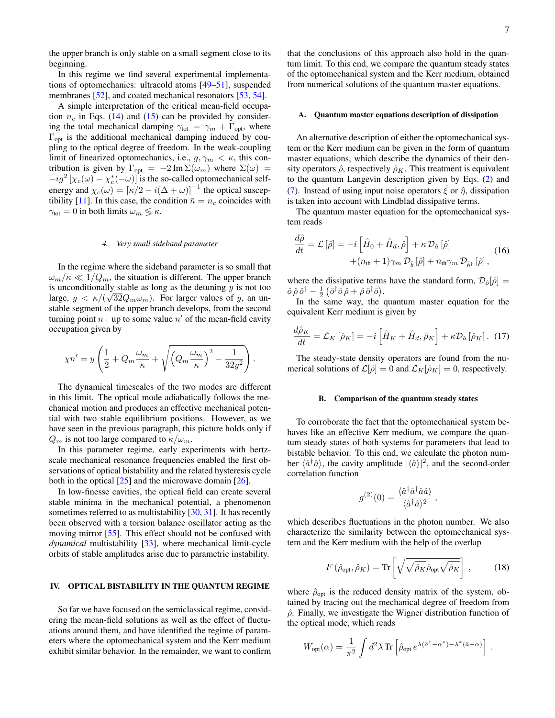the upper branch is only stable on a small segment close to its beginning.

In this regime we find several experimental implementations of optomechanics: ultracold atoms [\[49–](#page-9-35)[51\]](#page-9-36), suspended membranes [\[52\]](#page-9-37), and coated mechanical resonators [\[53,](#page-9-38) [54\]](#page-9-39).

A simple interpretation of the critical mean-field occupation  $n_c$  in Eqs. [\(14\)](#page-5-1) and [\(15\)](#page-5-2) can be provided by considering the total mechanical damping  $\gamma_{\text{tot}} = \gamma_m + \Gamma_{\text{opt}}$ , where  $\Gamma_{opt}$  is the additional mechanical damping induced by coupling to the optical degree of freedom. In the weak-coupling limit of linearized optomechanics, i.e.,  $g, \gamma_m < \kappa$ , this contribution is given by  $\Gamma_{opt} = -2 \text{Im } \Sigma(\omega_m)$  where  $\Sigma(\omega) =$  $-i g^2 \left[ \chi_c(\omega) - \chi_c^*(-\omega) \right]$  is the so-called optomechanical selfenergy and  $\chi_c(\omega) = [\kappa/2 - i(\Delta + \omega)]^{-1}$  the optical suscep-tibility [\[11\]](#page-9-5). In this case, the condition  $\bar{n} = n_c$  coincides with  $\gamma_{\text{tot}} = 0$  in both limits  $\omega_m \lessgtr \kappa$ .

#### *4. Very small sideband parameter*

In the regime where the sideband parameter is so small that  $\omega_m/\kappa \ll 1/Q_m$ , the situation is different. The upper branch is unconditionally stable as long as the detuning  $y$  is not too large,  $y < \kappa/(\sqrt{32}Q_m\omega_m)$ . For larger values of y, an unstable segment of the upper branch develops, from the second turning point  $n_+$  up to some value  $n'$  of the mean-field cavity occupation given by

$$
\chi n' = y \left( \frac{1}{2} + Q_m \frac{\omega_m}{\kappa} + \sqrt{\left( Q_m \frac{\omega_m}{\kappa} \right)^2 - \frac{1}{32y^2}} \right).
$$

The dynamical timescales of the two modes are different in this limit. The optical mode adiabatically follows the mechanical motion and produces an effective mechanical potential with two stable equilibrium positions. However, as we have seen in the previous paragraph, this picture holds only if  $Q_m$  is not too large compared to  $\kappa/\omega_m$ .

In this parameter regime, early experiments with hertzscale mechanical resonance frequencies enabled the first observations of optical bistability and the related hysteresis cycle both in the optical [\[25\]](#page-9-15) and the microwave domain [\[26\]](#page-9-16).

In low-finesse cavities, the optical field can create several stable minima in the mechanical potential, a phenomenon sometimes referred to as multistability [\[30,](#page-9-20) [31\]](#page-9-21). It has recently been observed with a torsion balance oscillator acting as the moving mirror [\[55\]](#page-9-40). This effect should not be confused with *dynamical* multistability [\[33\]](#page-9-23), where mechanical limit-cycle orbits of stable amplitudes arise due to parametric instability.

# <span id="page-6-0"></span>IV. OPTICAL BISTABILITY IN THE QUANTUM REGIME

So far we have focused on the semiclassical regime, considering the mean-field solutions as well as the effect of fluctuations around them, and have identified the regime of parameters where the optomechanical system and the Kerr medium exhibit similar behavior. In the remainder, we want to confirm that the conclusions of this approach also hold in the quantum limit. To this end, we compare the quantum steady states of the optomechanical system and the Kerr medium, obtained from numerical solutions of the quantum master equations.

### A. Quantum master equations description of dissipation

An alternative description of either the optomechanical system or the Kerr medium can be given in the form of quantum master equations, which describe the dynamics of their density operators  $\hat{\rho}$ , respectively  $\hat{\rho}_K$ . This treatment is equivalent to the quantum Langevin description given by Eqs. [\(2\)](#page-1-1) and [\(7\)](#page-1-9). Instead of using input noise operators  $\zeta$  or  $\hat{\eta}$ , dissipation is taken into account with Lindblad dissipative terms.

The quantum master equation for the optomechanical system reads

<span id="page-6-2"></span>
$$
\frac{d\hat{\rho}}{dt} = \mathcal{L}\left[\hat{\rho}\right] = -i\left[\hat{H}_0 + \hat{H}_d, \hat{\rho}\right] + \kappa \mathcal{D}_{\hat{a}}\left[\hat{\rho}\right] + \left(n_{\text{th}} + 1\right)\gamma_m \mathcal{D}_{\hat{b}}\left[\hat{\rho}\right] + n_{\text{th}}\gamma_m \mathcal{D}_{\hat{b}^{\dagger}}\left[\hat{\rho}\right],
$$
\n(16)

where the dissipative terms have the standard form,  $\mathcal{D}_{\hat{o}}[\hat{\rho}] =$  $\hat{o} \,\hat{\rho}\,\hat{o}^{\dagger} - \frac{1}{2} \left( \hat{o}^{\dagger}\hat{o} \,\hat{\rho} + \hat{\rho}\,\hat{o}^{\dagger}\hat{o} \right).$ 

In the same way, the quantum master equation for the equivalent Kerr medium is given by

<span id="page-6-3"></span>
$$
\frac{d\hat{\rho}_K}{dt} = \mathcal{L}_K\left[\hat{\rho}_K\right] = -i\left[\hat{H}_K + \hat{H}_d, \hat{\rho}_K\right] + \kappa \mathcal{D}_{\hat{a}}\left[\hat{\rho}_K\right].
$$
 (17)

The steady-state density operators are found from the numerical solutions of  $\mathcal{L}[\hat{\rho}] = 0$  and  $\mathcal{L}_K[\hat{\rho}_K] = 0$ , respectively.

#### B. Comparison of the quantum steady states

To corroborate the fact that the optomechanical system behaves like an effective Kerr medium, we compare the quantum steady states of both systems for parameters that lead to bistable behavior. To this end, we calculate the photon number  $\langle \hat{a}^\dagger \hat{a} \rangle$ , the cavity amplitude  $|\langle \hat{a} \rangle|^2$ , and the second-order correlation function

$$
g^{(2)}(0) = \frac{\langle \hat{a}^\dagger \hat{a}^\dagger \hat{a} \hat{a} \rangle}{\langle \hat{a}^\dagger \hat{a} \rangle^2} \,,
$$

which describes fluctuations in the photon number. We also characterize the similarity between the optomechanical system and the Kerr medium with the help of the overlap

<span id="page-6-1"></span>
$$
F\left(\hat{\rho}_{\rm opt}, \hat{\rho}_K\right) = \text{Tr}\left[\sqrt{\sqrt{\hat{\rho}_K}\hat{\rho}_{\rm opt}\sqrt{\hat{\rho}_K}}\right],\tag{18}
$$

where  $\hat{\rho}_{opt}$  is the reduced density matrix of the system, obtained by tracing out the mechanical degree of freedom from  $\hat{\rho}$ . Finally, we investigate the Wigner distribution function of the optical mode, which reads

$$
W_{\rm opt}(\alpha) = \frac{1}{\pi^2} \int d^2\lambda \,\mathrm{Tr} \left[ \hat{\rho}_{\rm opt} \, e^{\lambda(\hat{a}^\dagger - \alpha^*) - \lambda^*(\hat{a} - \alpha)} \right] \; .
$$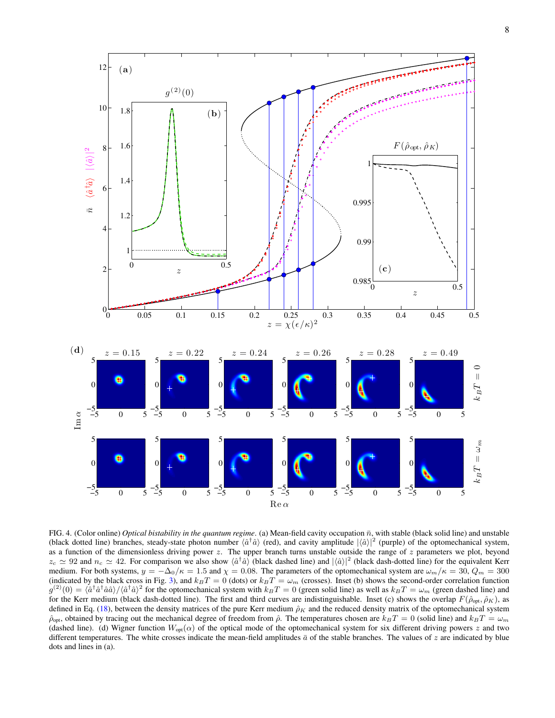

<span id="page-7-0"></span>FIG. 4. (Color online) *Optical bistability in the quantum regime*. (a) Mean-field cavity occupation  $\bar{n}$ , with stable (black solid line) and unstable (black dotted line) branches, steady-state photon number  $\langle \hat{a}^{\dagger} \hat{a} \rangle$  (red), and cavity amplitude  $|\langle \hat{a} \rangle|^2$  (purple) of the optomechanical system, as a function of the dimensionless driving power  $z$ . The upper branch turns unstable outside the range of  $z$  parameters we plot, beyond  $z_c \simeq 92$  and  $n_c \simeq 42$ . For comparison we also show  $\langle \hat{a}^\dagger \hat{a} \rangle$  (black dashed line) and  $|\langle \hat{a} \rangle|^2$  (black dash-dotted line) for the equivalent Kerr medium. For both systems,  $y = -\Delta_0/\kappa = 1.5$  and  $\chi = 0.08$ . The parameters of the optomechanical system are  $\omega_m/\kappa = 30$ ,  $Q_m = 300$ (indicated by the black cross in Fig. [3\)](#page-5-0), and  $k_BT = 0$  (dots) or  $k_BT = \omega_m$  (crosses). Inset (b) shows the second-order correlation function  $g^{(2)}(0) = \langle \hat{a}^\dagger \hat{a}^\dagger \hat{a} \hat{a} \rangle / \langle \hat{a}^\dagger \hat{a} \rangle^2$  for the optomechanical system with  $k_B T = 0$  (green solid line) as well as  $k_B T = \omega_m$  (green dashed line) and for the Kerr medium (black dash-dotted line). The first and third curves are indistinguishable. Inset (c) shows the overlap  $F(\hat{\rho}_{\text{out}}, \hat{\rho}_K)$ , as defined in Eq. [\(18\)](#page-6-1), between the density matrices of the pure Kerr medium  $\hat{\rho}_K$  and the reduced density matrix of the optomechanical system  $\hat{\rho}_{opt}$ , obtained by tracing out the mechanical degree of freedom from  $\hat{\rho}$ . The temperatures chosen are  $k_BT = 0$  (solid line) and  $k_BT = \omega_m$ (dashed line). (d) Wigner function  $W_{opt}(\alpha)$  of the optical mode of the optomechanical system for six different driving powers z and two different temperatures. The white crosses indicate the mean-field amplitudes  $\bar{a}$  of the stable branches. The values of z are indicated by blue dots and lines in (a).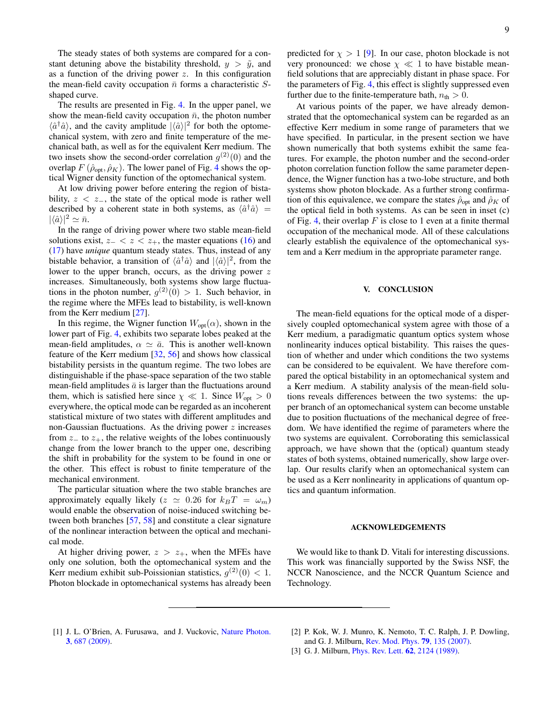The steady states of both systems are compared for a constant detuning above the bistability threshold,  $y > \tilde{y}$ , and as a function of the driving power  $z$ . In this configuration the mean-field cavity occupation  $\bar{n}$  forms a characteristic Sshaped curve.

The results are presented in Fig. [4.](#page-7-0) In the upper panel, we show the mean-field cavity occupation  $\bar{n}$ , the photon number  $\langle \hat{a}^\dagger \hat{a} \rangle$ , and the cavity amplitude  $|\langle \hat{a} \rangle|^2$  for both the optomechanical system, with zero and finite temperature of the mechanical bath, as well as for the equivalent Kerr medium. The two insets show the second-order correlation  $g^{(2)}(0)$  and the overlap  $F(\hat{\rho}_{opt}, \hat{\rho}_K)$ . The lower panel of Fig. [4](#page-7-0) shows the optical Wigner density function of the optomechanical system.

At low driving power before entering the region of bistability,  $z \, \langle \, z_-, \rangle$  the state of the optical mode is rather well described by a coherent state in both systems, as  $\langle \hat{a}^\dagger \hat{a} \rangle =$  $|\langle \hat{a} \rangle|^2 \simeq \bar{n}.$ 

In the range of driving power where two stable mean-field solutions exist,  $z_ - < z < z_ +$ , the master equations [\(16\)](#page-6-2) and [\(17\)](#page-6-3) have *unique* quantum steady states. Thus, instead of any bistable behavior, a transition of  $\langle \hat{a}^\dagger \hat{a} \rangle$  and  $|\langle \hat{a} \rangle|^2$ , from the lower to the upper branch, occurs, as the driving power z increases. Simultaneously, both systems show large fluctuations in the photon number,  $g^{(2)}(0) > 1$ . Such behavior, in the regime where the MFEs lead to bistability, is well-known from the Kerr medium [\[27\]](#page-9-17).

In this regime, the Wigner function  $W_{opt}(\alpha)$ , shown in the lower part of Fig. [4,](#page-7-0) exhibits two separate lobes peaked at the mean-field amplitudes,  $\alpha \simeq \bar{a}$ . This is another well-known feature of the Kerr medium [\[32,](#page-9-22) [56\]](#page-9-41) and shows how classical bistability persists in the quantum regime. The two lobes are distinguishable if the phase-space separation of the two stable mean-field amplitudes  $\bar{a}$  is larger than the fluctuations around them, which is satisfied here since  $\chi \ll 1$ . Since  $W_{\text{opt}} > 0$ everywhere, the optical mode can be regarded as an incoherent statistical mixture of two states with different amplitudes and non-Gaussian fluctuations. As the driving power  $z$  increases from  $z_$  to  $z_+$ , the relative weights of the lobes continuously change from the lower branch to the upper one, describing the shift in probability for the system to be found in one or the other. This effect is robust to finite temperature of the mechanical environment.

The particular situation where the two stable branches are approximately equally likely ( $z \approx 0.26$  for  $k_BT = \omega_m$ ) would enable the observation of noise-induced switching between both branches [\[57,](#page-9-42) [58\]](#page-9-43) and constitute a clear signature of the nonlinear interaction between the optical and mechanical mode.

At higher driving power,  $z > z_{+}$ , when the MFEs have only one solution, both the optomechanical system and the Kerr medium exhibit sub-Poissionian statistics,  $g^{(2)}(0) < 1$ . Photon blockade in optomechanical systems has already been predicted for  $\chi > 1$  [\[9\]](#page-9-3). In our case, photon blockade is not very pronounced: we chose  $\chi \ll 1$  to have bistable meanfield solutions that are appreciably distant in phase space. For the parameters of Fig. [4,](#page-7-0) this effect is slightly suppressed even further due to the finite-temperature bath,  $n_{\text{th}} > 0$ .

At various points of the paper, we have already demonstrated that the optomechanical system can be regarded as an effective Kerr medium in some range of parameters that we have specified. In particular, in the present section we have shown numerically that both systems exhibit the same features. For example, the photon number and the second-order photon correlation function follow the same parameter dependence, the Wigner function has a two-lobe structure, and both systems show photon blockade. As a further strong confirmation of this equivalence, we compare the states  $\hat{\rho}_{opt}$  and  $\hat{\rho}_K$  of the optical field in both systems. As can be seen in inset (c) of Fig. [4,](#page-7-0) their overlap  $F$  is close to 1 even at a finite thermal occupation of the mechanical mode. All of these calculations clearly establish the equivalence of the optomechanical system and a Kerr medium in the appropriate parameter range.

# V. CONCLUSION

The mean-field equations for the optical mode of a dispersively coupled optomechanical system agree with those of a Kerr medium, a paradigmatic quantum optics system whose nonlinearity induces optical bistability. This raises the question of whether and under which conditions the two systems can be considered to be equivalent. We have therefore compared the optical bistability in an optomechanical system and a Kerr medium. A stability analysis of the mean-field solutions reveals differences between the two systems: the upper branch of an optomechanical system can become unstable due to position fluctuations of the mechanical degree of freedom. We have identified the regime of parameters where the two systems are equivalent. Corroborating this semiclassical approach, we have shown that the (optical) quantum steady states of both systems, obtained numerically, show large overlap. Our results clarify when an optomechanical system can be used as a Kerr nonlinearity in applications of quantum optics and quantum information.

### ACKNOWLEDGEMENTS

We would like to thank D. Vitali for interesting discussions. This work was financially supported by the Swiss NSF, the NCCR Nanoscience, and the NCCR Quantum Science and Technology.

- <span id="page-8-0"></span>[1] J. L. O'Brien, A. Furusawa, and J. Vuckovic, [Nature Photon.](http://dx.doi.org/10.1038/nphoton.2009.229) 3[, 687 \(2009\).](http://dx.doi.org/10.1038/nphoton.2009.229)
- <span id="page-8-1"></span>[2] P. Kok, W. J. Munro, K. Nemoto, T. C. Ralph, J. P. Dowling,
- and G. J. Milburn, [Rev. Mod. Phys.](http://dx.doi.org/ 10.1103/RevModPhys.79.135) 79, 135 (2007).
- <span id="page-8-2"></span>[3] G. J. Milburn, *[Phys. Rev. Lett.](http://dx.doi.org/10.1103/PhysRevLett.62.2124)* **62**, 2124 (1989).